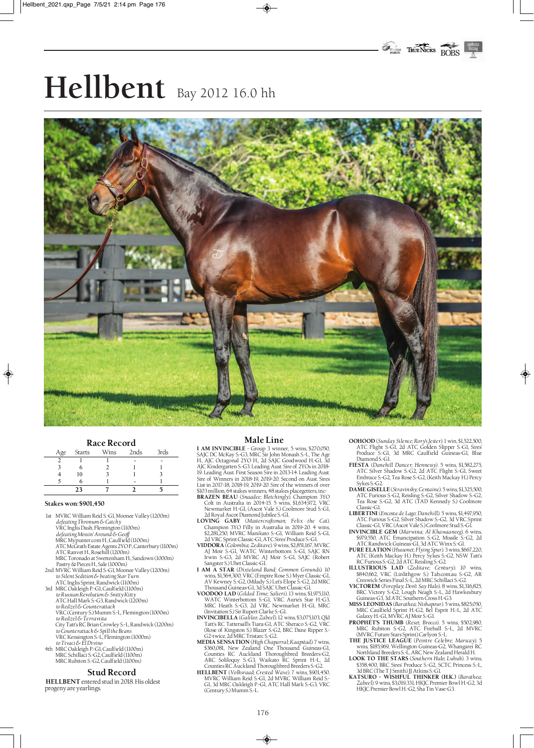# **Hellbent** Bay 2012 16.0 hh



#### **Race Record**

| Age | Starts | Wins | 2nds | 3rds |
|-----|--------|------|------|------|
|     |        |      |      |      |
|     |        |      |      |      |
|     | 10     |      |      |      |
|     | n      |      |      |      |
|     | 23     |      |      |      |

#### **Stakes won: \$901,450**

♦

- 1st MVRC William Reid S.-G1, Moonee Valley (1200m) *defeating Thronum & Catchy* VRC Inglis Dash, Flemington (1100m)
	- *defeating Mossin' Around & Geoff* MRC Mypunter.com H., Caulfield (1100m)
	- ATC McGrath Estate Agents 2YO P., Canterbury (1100m) ATC Ranvet H., Rosehill (1200m)
	- MRC Toronado at Swettenham H., Sandown (1000m)
- Pastry & Pieces H., Sale (1000m) 2nd MVRC William Reid S.-G1, Moonee Valley (1200m) *to Silent Sedition & beating Star Turn*
- ATC Inglis Sprint, Randwick (1100m) 3rd MRC Oakleigh P.-G1, Caulfield (1100m) *to Russian Revolution & Snitty Kitty*
- ATC Hall Mark S.-G3, Randwick (1200m)
- *to Redzel & Counterattack* VRC (Century S.) Mumm S.-L, Flemington (1000m)
- *to Redzel & Terravista*
- City Tatt's RC Brian Crowley S.-L, Randwick (1200m) *to Counterattack & Spill the Beans* VRC Kensington S.-L, Flemington (1000m)
- *to Tivaci & El Divino* 4th MRC Oakleigh P.-G1, Caulfield (1100m) MRC Schillaci S.-G2, Caulfield (1100m) MRC Rubiton S.-G2, Caulfield (1100m)

#### **Stud Record**

**HELLBENT** entered stud in 2018. His oldest progeny are yearlings.

#### **Male Line**

**I AM INVINCIBLE** - Group 3 winner, 5 wins, \$270,050, SAJC DC McKay S.-G3, MRC Sir John Monash S.-L, The Age H., AJC Octagonal 2YO H., 2d SAJC Goodwood H.-G1, 3d AJC Kindergarten S.-G3. Leading Aust. Sire of 2YOs in 2018- 19. Leading Aust. First Season Sire in 2013-14. Leading Aust. Sire of Winners in 2018-19, 2019-20. Second on Aust. Sires List in 2017-18, 2018-19, 2019-20. Sire of the winners of over **EXAMILION, 64 stakes winners, 48 stakes placegetters, inc-BRAZEN BEAU** (*Snaadee; Bletchingly*). Champion 3YO

- **BRAZEN BEAU** (*Snaadee; Bletchingly*). Champion 3YO Colt in Australia in 2014-15. 5 wins, \$1,634,972, VRC Newmarket H.-G1, (Ascot Vale S.) Coolmore Stud S.-G1, 2d Royal Ascot Diamond Jubilee S.-G1. **LOVING GABY** (*Mastercraftsman; Felix the Cat*).
- Champion 3YO Filly in Australia in 2019-20. 4 wins, \$2,281,250, MVRC Manikato S.-G1, William Reid S.-G1, 2d VRC Sprint Classic-G1, ATC Sires' Produce S.-G1. **VIDDORA** (*Colombia; Zeditave*). 9 wins, \$2,851,167, MVRC
- AJ Moir S.-G1, WATC Winterbottom S.-G1, SAJC RN Irwin S.-G3, 2d MVRC AJ Moir S.-G1, SAJC (Robert Sangster S.) Ubet Classic-G1.
- **I AM A STAR** (*Dixieland Band; Common Grounds*). 10 wins, \$1,564,300, VRC (Empire Rose S.) Myer Classic-G1, AV Kewney S.-G2, (Milady S.) Let's Elope S.-G2, 2d MRC
- Thousand Guineas-G1, 3d SAJC Ubet Classic-G1. **VOODOO LAD** (*Gilded Time; Salieri*). 13 wins, \$1,975,110, WATC Winterbottom S.-G1, VRC Aurie's Star H.-G3, MRC Heath S.-G3, 2d VRC Newmarket H.-G1, MRC<br>(Invitation S.) Sir Rupert Clarke S.-G1.<br>**INVINCIBELLA** (*Galileo; Zabeel*). 12 wins, \$3,075,103, Qld
- Tatt's RC Tattersall's Tiara-G1, ATC Sheraco S.-G2, VRC (Rose of Kingston S.) Blazer S.-G2, BRC Dane Ripper S.- G2-twice, 2d MRC Tristarc S.-G2.
- **MEDIA SENSATION** (*High Chaparral; Kaapstad*). 7 wins, \$360,081, New Zealand One Thousand Guineas-G1, Counties RC Auckland Thoroughbred Breeders-G2, ARC Soliloquy S.-G3, Waikato RC Sprint H.-L, 2d Counties RC Auckland Thoroughbred Breeders S.-G2.
- **HELLBENT** (*Volksraad; Crested Wave*). 7 wins, \$901,450, MVRC William Reid S.-G1, 2d MVRC William Reid S.- G1, 3d MRC Oakleigh P.-G1, ATC Hall Mark S.-G3, VRC (Century S.) Mumm S.-L.

**OOHOOD** (*Sunday Silence; Rory's Jester*). 1 win, \$1,522,500, ATC Flight S.-G1, 2d ATC Golden Slipper S.-G1, Sires' Produce S.-G1, 3d MRC Caulfield Guineas-G1, Blue Diamond S.-G1.

♦

- **FIESTA** (*Danehill Dancer; Hennessy*). 5 wins, \$1,582,275, ATC Silver Shadow S.-G2, 2d ATC Flight S.-G1, Sweet Embrace S.-G2, Tea Rose S.-G2, (Keith Mackay H.) Percy
- Sykes S.-G2. **DAME GISELLE** (*Stravinsky; Centaine*). 5 wins, \$1,325,500, ATC Furious S.-G2, Reisling S.-G2, Silver Shadow S.-G2, Tea Rose S.-G2, 3d ATC (TAD Kennedy S.) Coolmore Classic-G1.
- **LIBERTINI** (*Encosta de Lago; Danehill*). 5 wins, \$1,497,950, ATC Furious S.-G2, Silver Shadow S.-G2, 3d VRC Sprint
- Classic-G1, VRC (Ascot Vale S.) Coolmore Stud S.-G1. **INVINCIBLE GEM** (*Marwina; Al Khawaaneeg*). 6 wins, \$979,550, ATC Emancipation S.-G2, Missile S.-G2, 2d ATC Randwick Guineas-G1, 3d ATC Winx S.-G1.
- **PURE ELATION** (*Hussonet; Flying Spur*). 3 wins, \$667,220,
- ATC (Keith Mackay H.) Percy Sykes S.-G2, NSW Tatt's RC Furious S.-G2, 2d ATC Reisling S.-G2. **ILLUSTRIOUS LAD** (*Zeditave; Century*). 10 wins,
- \$840,662, VRC (Linlithgow S.) Tab.com.au S.-G2, AR Creswick Series Final S.-L, 2d MRC Schillaci S.-G2. **VICTOREM** (*Foreplay; Don't Say Halo*). 8 wins, \$1,316,825, BRC Victory S.-G2, Lough Neagh S.-L, 2d Hawkesbury Guineas-G3, 3d ATC Southern Cross H.-G3.
- **MISS LEONIDAS** (*Barathea; Nishapour*). 5 wins, \$825,050, MRC Caulfield Sprint H.-G2, Bel Esprit H.-L, 2d ATC Galaxy H.-G1, MVRC AJ Moir S.-G1.
- **PROPHET'S THUMB** (*Reset; Brocco*). 5 wins, \$502,980, MRC Rubiton S.-G2, ATC Fireball S.-L, 2d MVRC (MVRC Future Stars Sprint) Carlyon S.-L. **THE JUSTICE LEAGUE** (*Peintre Celebre; Marscay*). 5
- wins, \$185,969, Wellington Guineas-G2, Whangarei RC Northland Breeders S.-L, ARC New Zealand Herald H. **LOOK TO THE STARS** (*Southern Halo; Luhuk*). 3 wins,
- \$358,400, BRC Sires' Produce S.-G2, SCTC Princess S.-L, 3d BRC (The T J Smith) JJ Atkins S.-G1. **KATSURO WISHFUL THINKER (H.K.)** (*Barathea;*
- *Zabeel*). 9 wins, \$3,019,331, HKJC Premier Bowl H.-G2, 3d HKJC Premier Bowl H.-G2, Sha Tin Vase-G3.